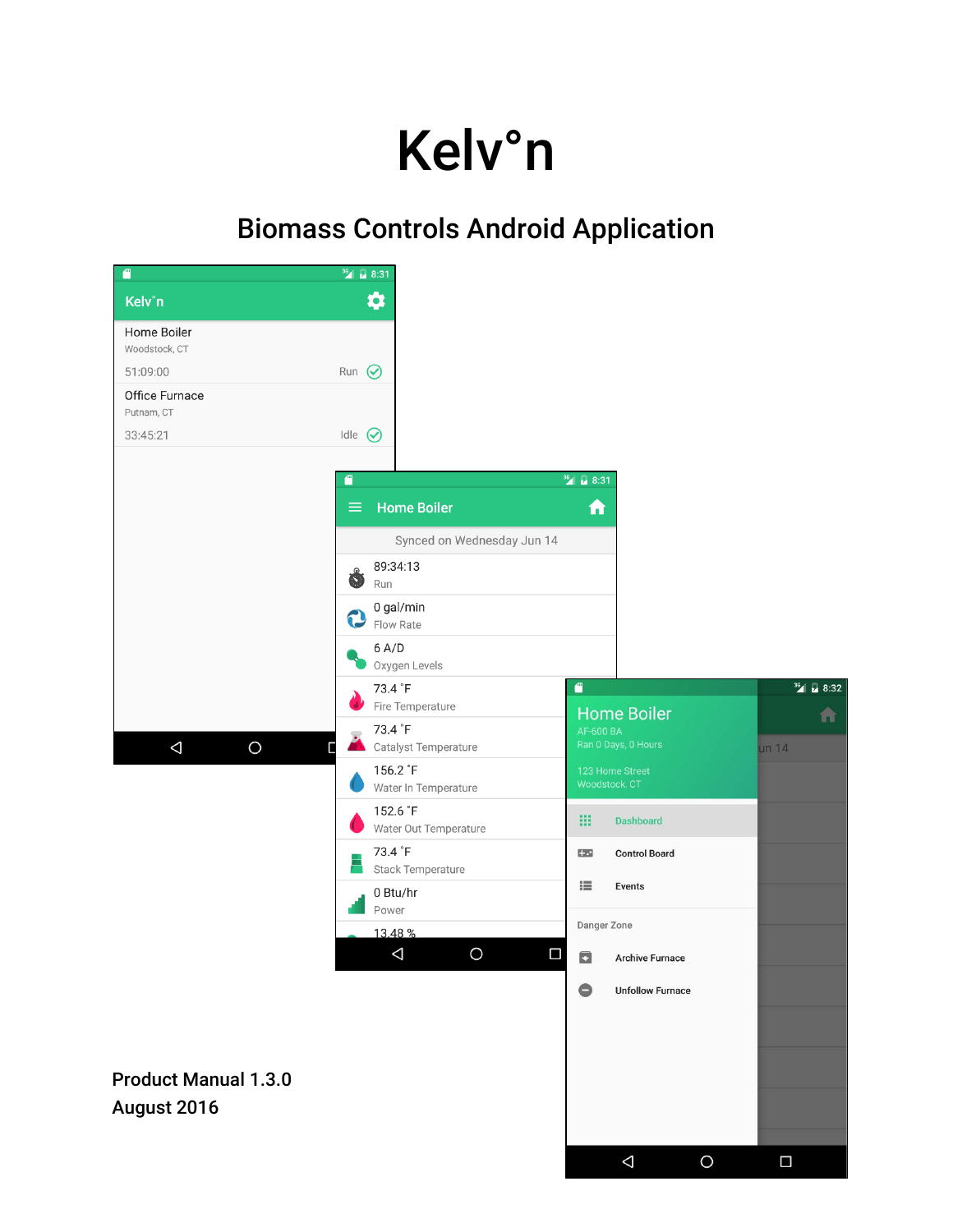# Kelv°n

# Biomass Controls Android Application

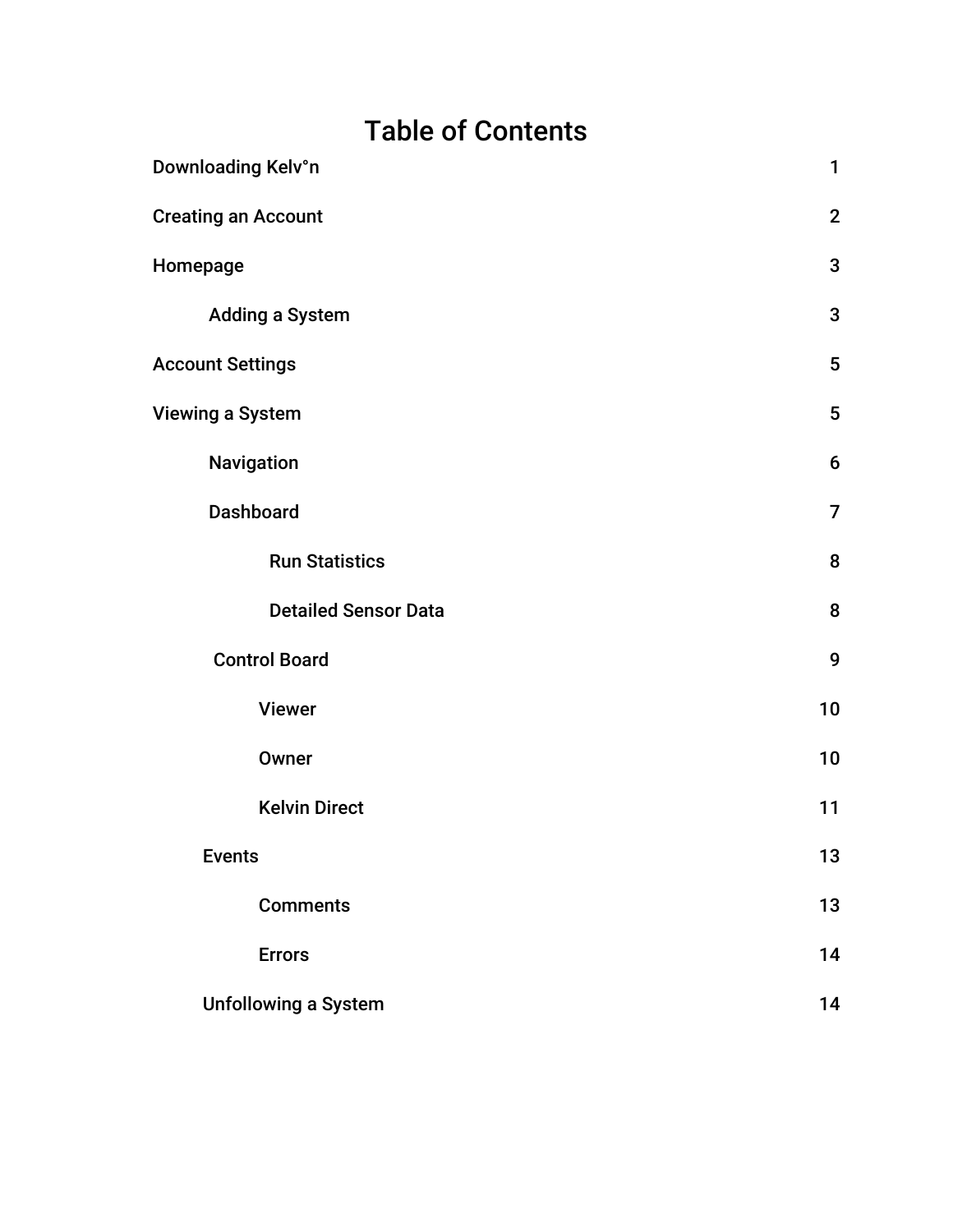# Table of Contents

| Downloading Kelv°n          | $\mathbf{1}$    |
|-----------------------------|-----------------|
| <b>Creating an Account</b>  | $\mathbf{2}$    |
| Homepage                    | 3               |
| <b>Adding a System</b>      | 3               |
| <b>Account Settings</b>     | $5\phantom{.0}$ |
| Viewing a System            | $5\phantom{.0}$ |
| Navigation                  | 6               |
| <b>Dashboard</b>            | $\overline{7}$  |
| <b>Run Statistics</b>       | 8               |
| <b>Detailed Sensor Data</b> | 8               |
| <b>Control Board</b>        | 9               |
| <b>Viewer</b>               | 10              |
| Owner                       | 10              |
| <b>Kelvin Direct</b>        | 11              |
| <b>Events</b>               | 13              |
| <b>Comments</b>             | 13              |
| <b>Errors</b>               | 14              |
| <b>Unfollowing a System</b> | 14              |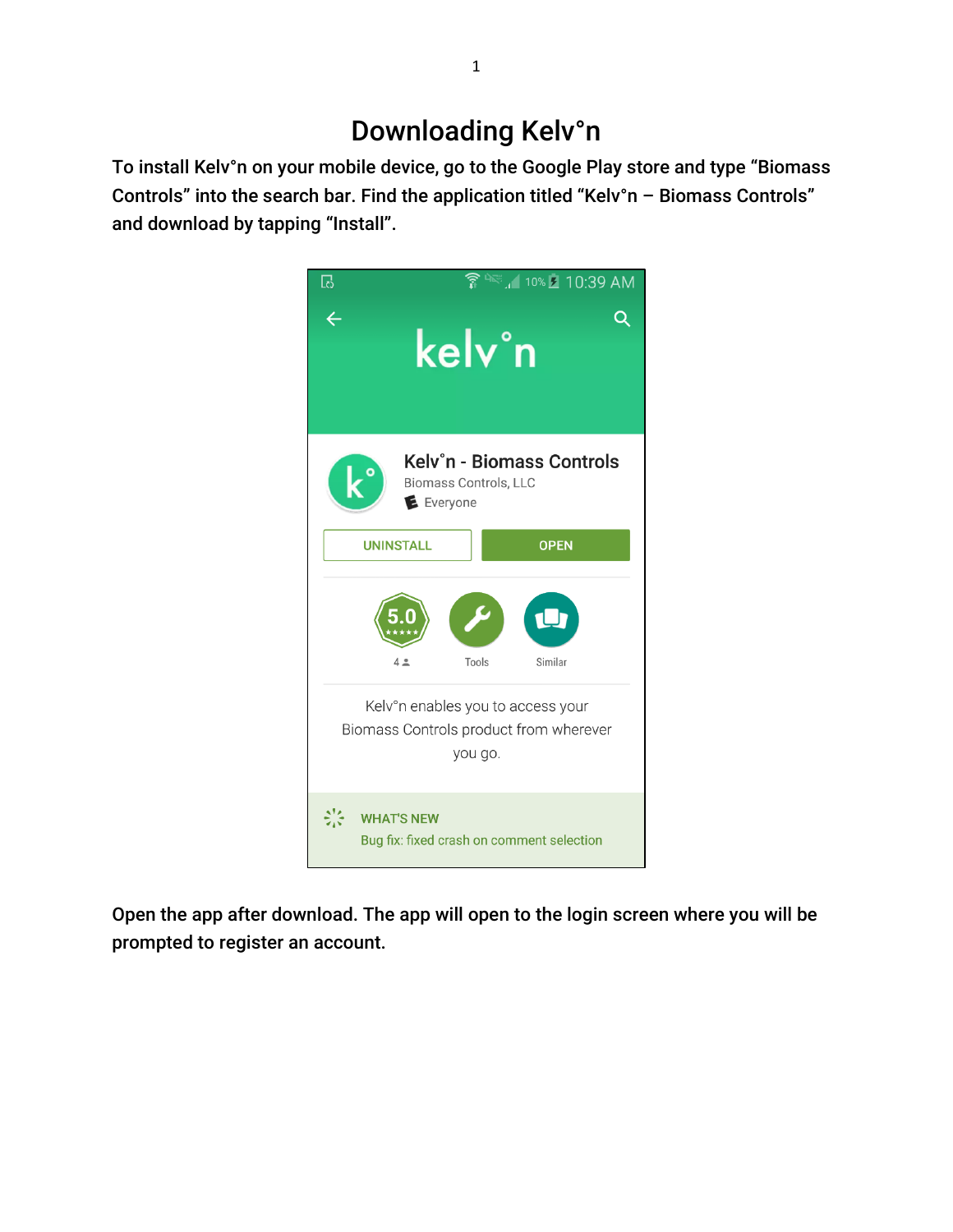# Downloading Kelv°n

To install Kelv°n on your mobile device, go to the Google Play store and type "Biomass Controls" into the search bar. Find the application titled "Kelv°n – Biomass Controls" and download by tapping "Install".



Open the app after download. The app will open to the login screen where you will be prompted to register an account.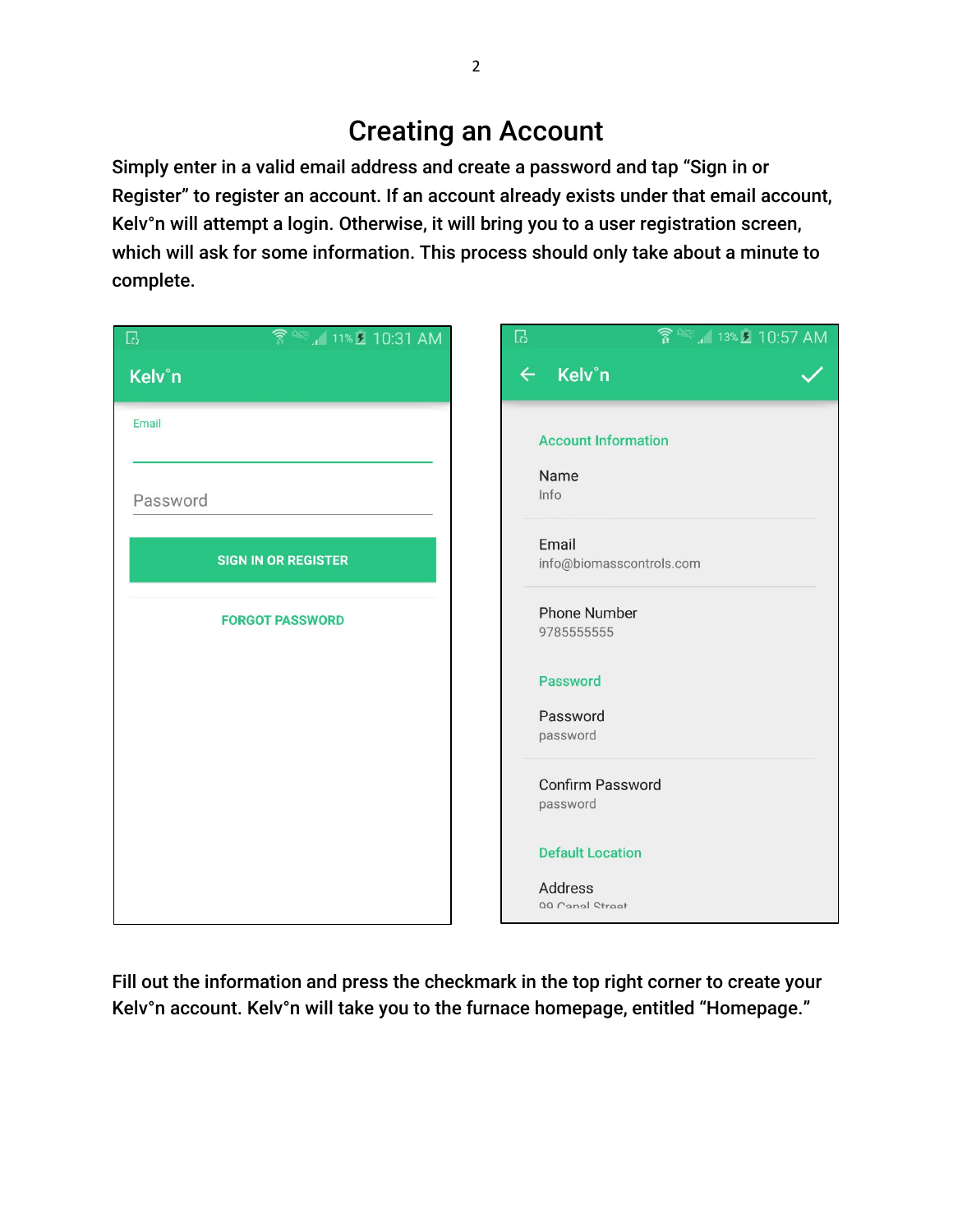# Creating an Account

Simply enter in a valid email address and create a password and tap "Sign in or Register" to register an account. If an account already exists under that email account, Kelv°n will attempt a login. Otherwise, it will bring you to a user registration screen, which will ask for some information. This process should only take about a minute to complete.

| <del>?</del> ▲ 11% 2 10:31 AM<br>$\Box$ | $\mathbb{F}^2$                    |
|-----------------------------------------|-----------------------------------|
| Kelv°n                                  | ← Kelv°n                          |
| Email                                   | <b>Account Information</b>        |
| Password                                | Name<br>Info                      |
|                                         | Email                             |
| <b>SIGN IN OR REGISTER</b>              | info@biomasscontrols.com          |
| <b>FORGOT PASSWORD</b>                  | <b>Phone Number</b><br>9785555555 |
|                                         | <b>Password</b>                   |
|                                         | Password<br>password              |
|                                         | Confirm Password<br>password      |
|                                         | <b>Default Location</b>           |
|                                         | Address<br>00 Canal Street        |

Fill out the information and press the checkmark in the top right corner to create your Kelv°n account. Kelv°n will take you to the furnace homepage, entitled "Homepage."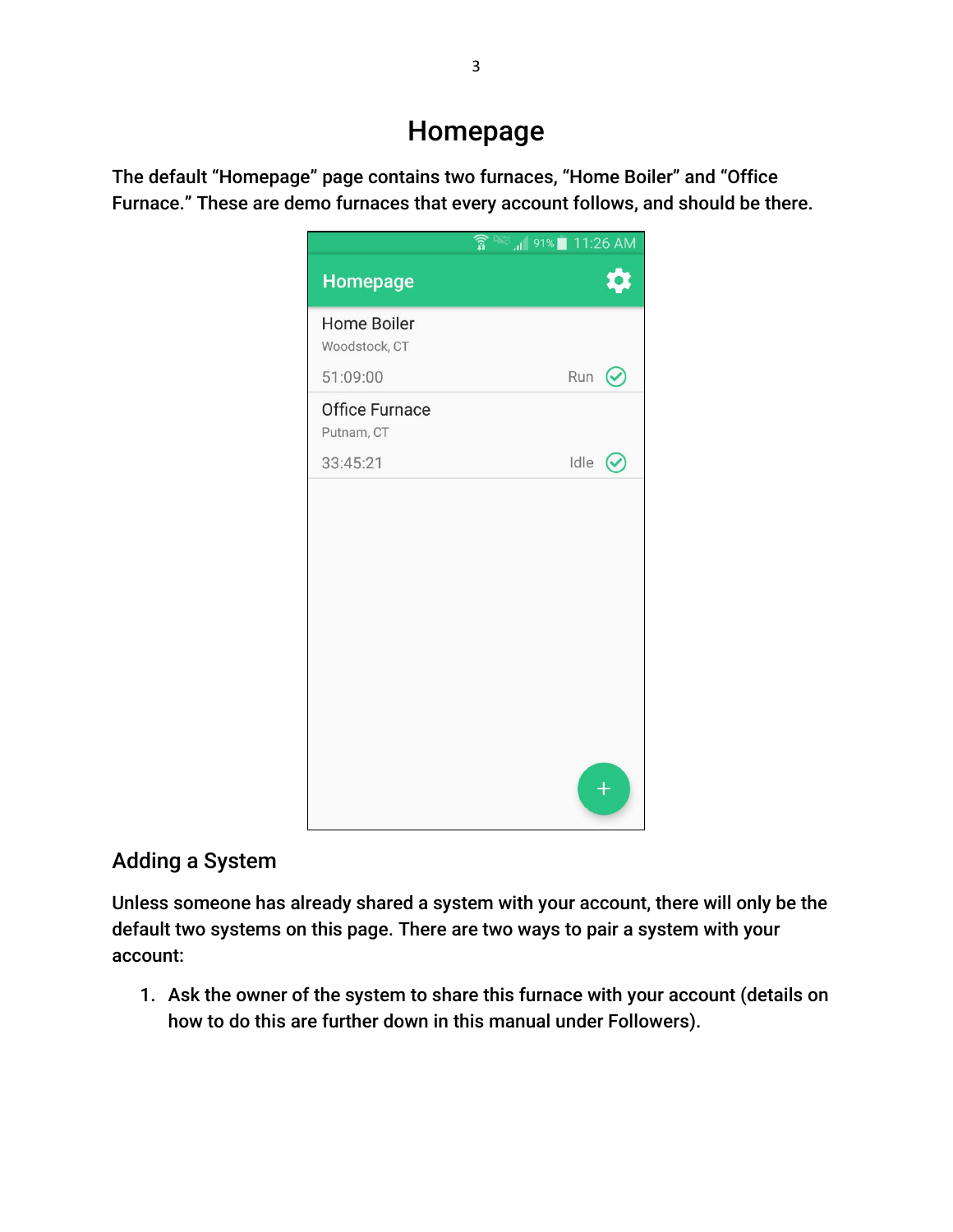### Homepage

The default "Homepage" page contains two furnaces, "Home Boiler" and "Office Furnace." These are demo furnaces that every account follows, and should be there.



### Adding a System

Unless someone has already shared a system with your account, there will only be the default two systems on this page. There are two ways to pair a system with your account:

1. Ask the owner of the system to share this furnace with your account (details on how to do this are further down in this manual under Followers).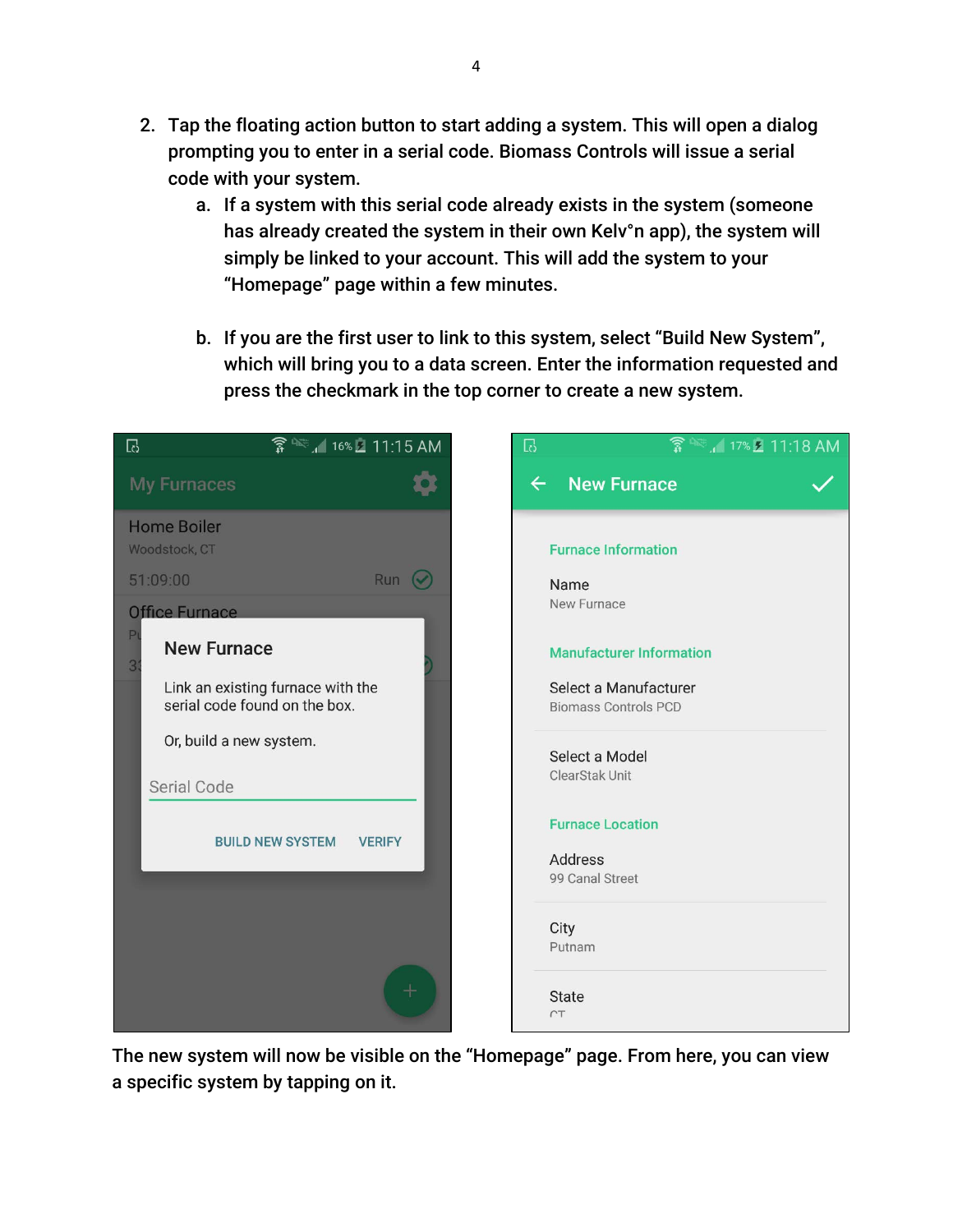- 2. Tap the floating action button to start adding a system. This will open a dialog prompting you to enter in a serial code. Biomass Controls will issue a serial code with your system.
	- a. If a system with this serial code already exists in the system (someone has already created the system in their own Kelv°n app), the system will simply be linked to your account. This will add the system to your "Homepage" page within a few minutes.
	- b. If you are the first user to link to this system, select "Build New System", which will bring you to a data screen. Enter the information requested and press the checkmark in the top corner to create a new system.



The new system will now be visible on the "Homepage" page. From here, you can view a specific system by tapping on it.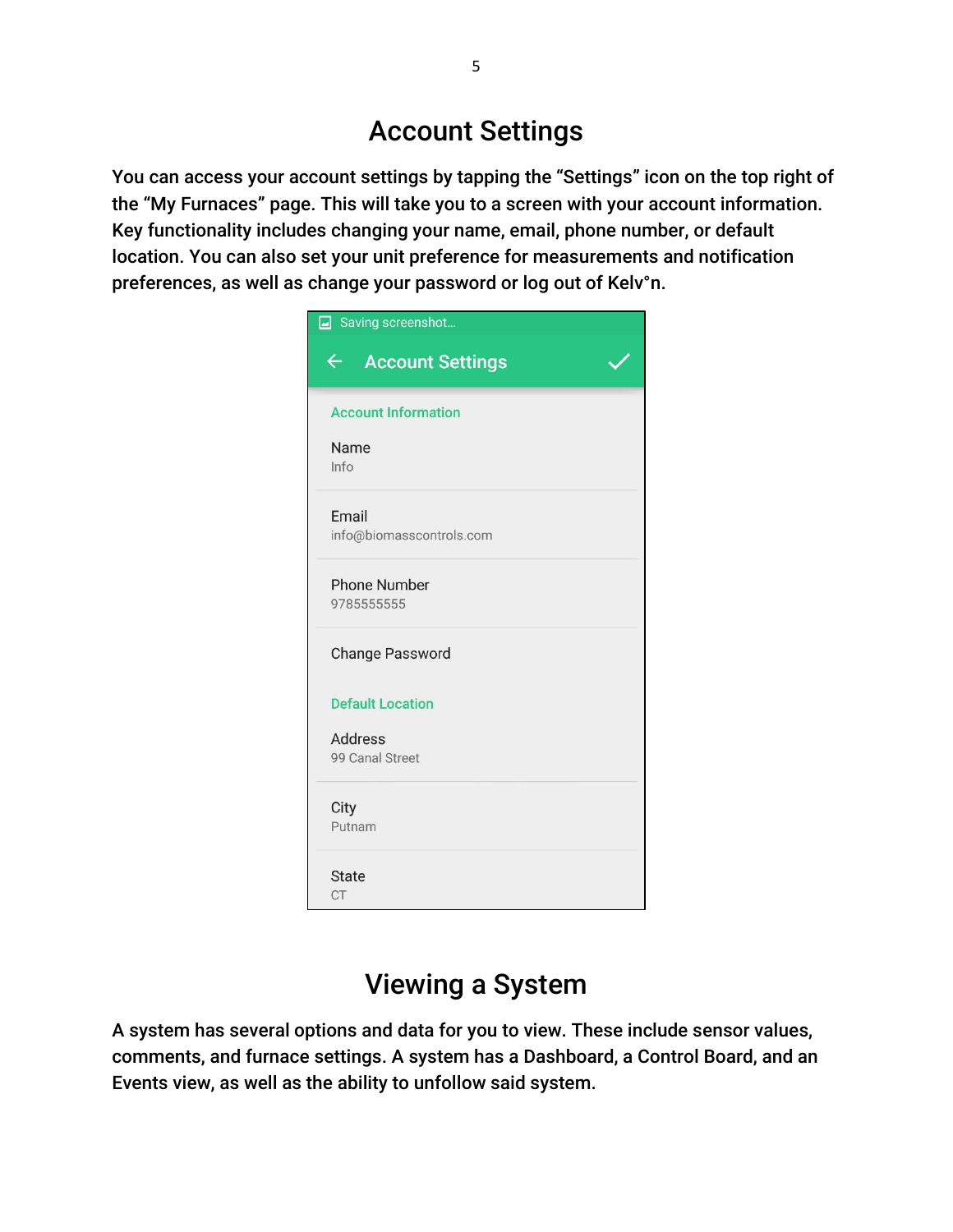# Account Settings

You can access your account settings by tapping the "Settings" icon on the top right of the "My Furnaces" page. This will take you to a screen with your account information. Key functionality includes changing your name, email, phone number, or default location. You can also set your unit preference for measurements and notification preferences, as well as change your password or log out of Kelv°n.

| Saving screenshot                 |
|-----------------------------------|
| ← Account Settings                |
| <b>Account Information</b>        |
| Name<br>Info                      |
| Email<br>info@biomasscontrols.com |
| <b>Phone Number</b><br>9785555555 |
| <b>Change Password</b>            |
| <b>Default Location</b>           |
| <b>Address</b><br>99 Canal Street |
| City<br>Putnam                    |
| <b>State</b><br><b>CT</b>         |

## Viewing a System

A system has several options and data for you to view. These include sensor values, comments, and furnace settings. A system has a Dashboard, a Control Board, and an Events view, as well as the ability to unfollow said system.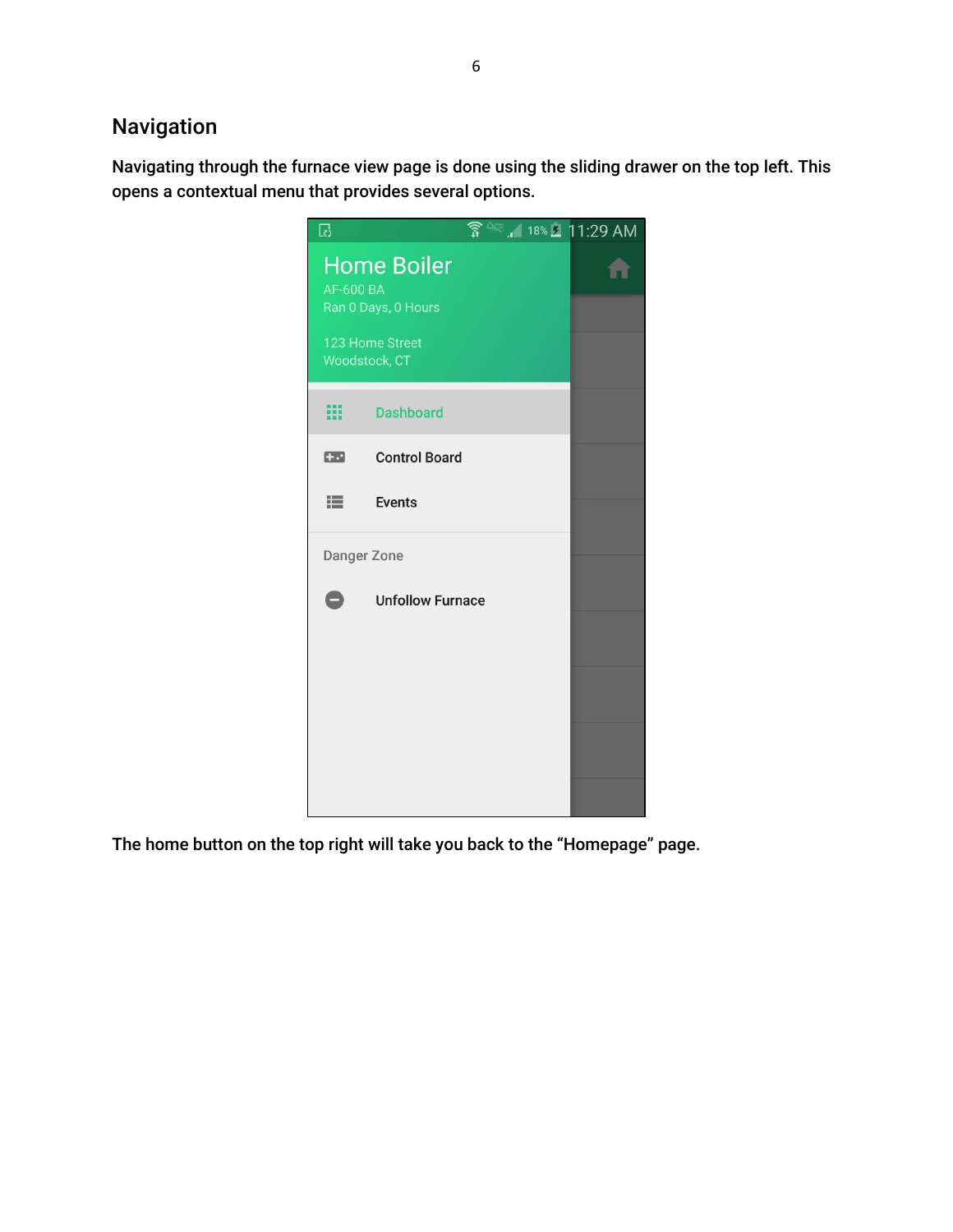### Navigation

Navigating through the furnace view page is done using the sliding drawer on the top left. This opens a contextual menu that provides several options.



The home button on the top right will take you back to the "Homepage" page.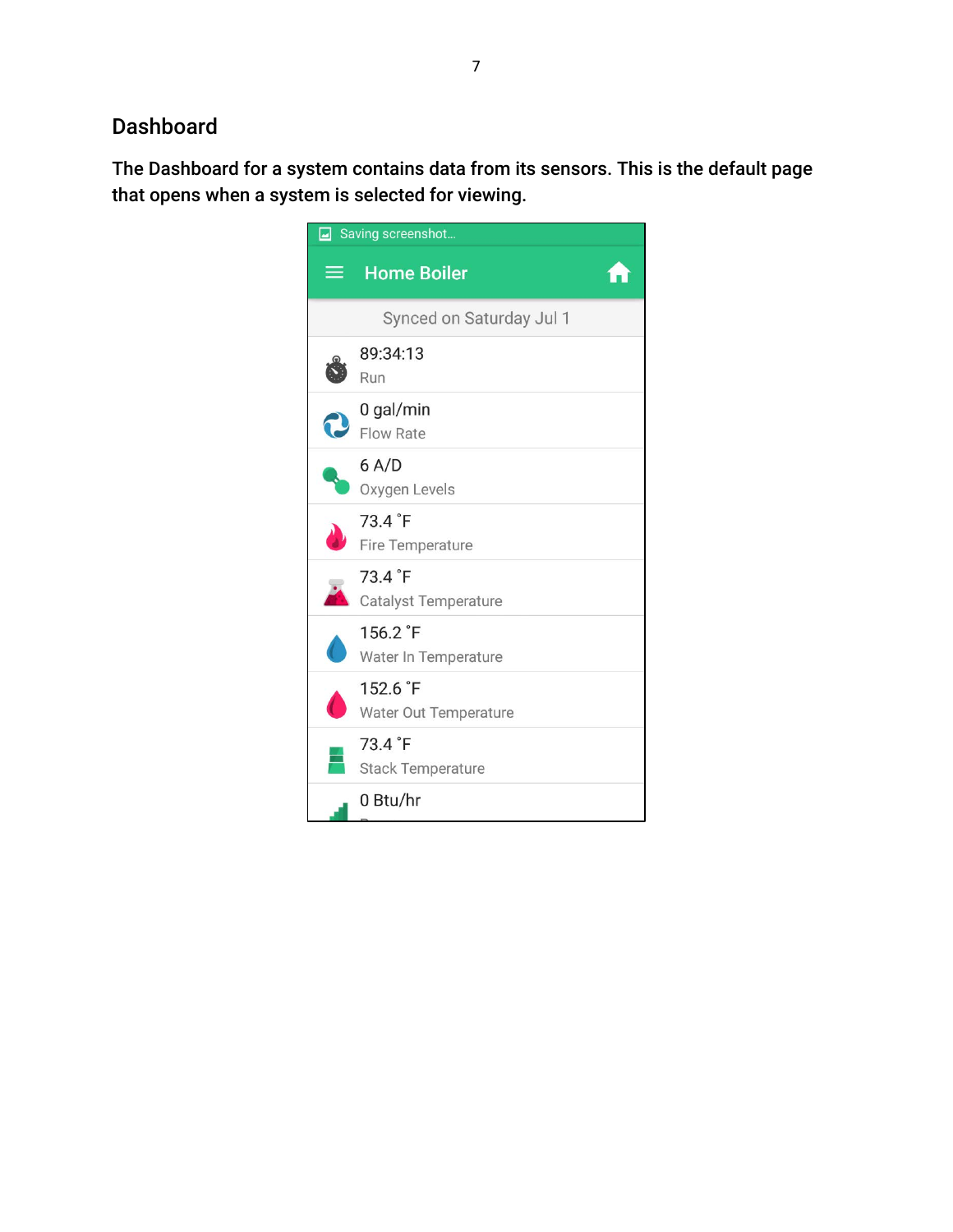### Dashboard

The Dashboard for a system contains data from its sensors. This is the default page that opens when a system is selected for viewing.

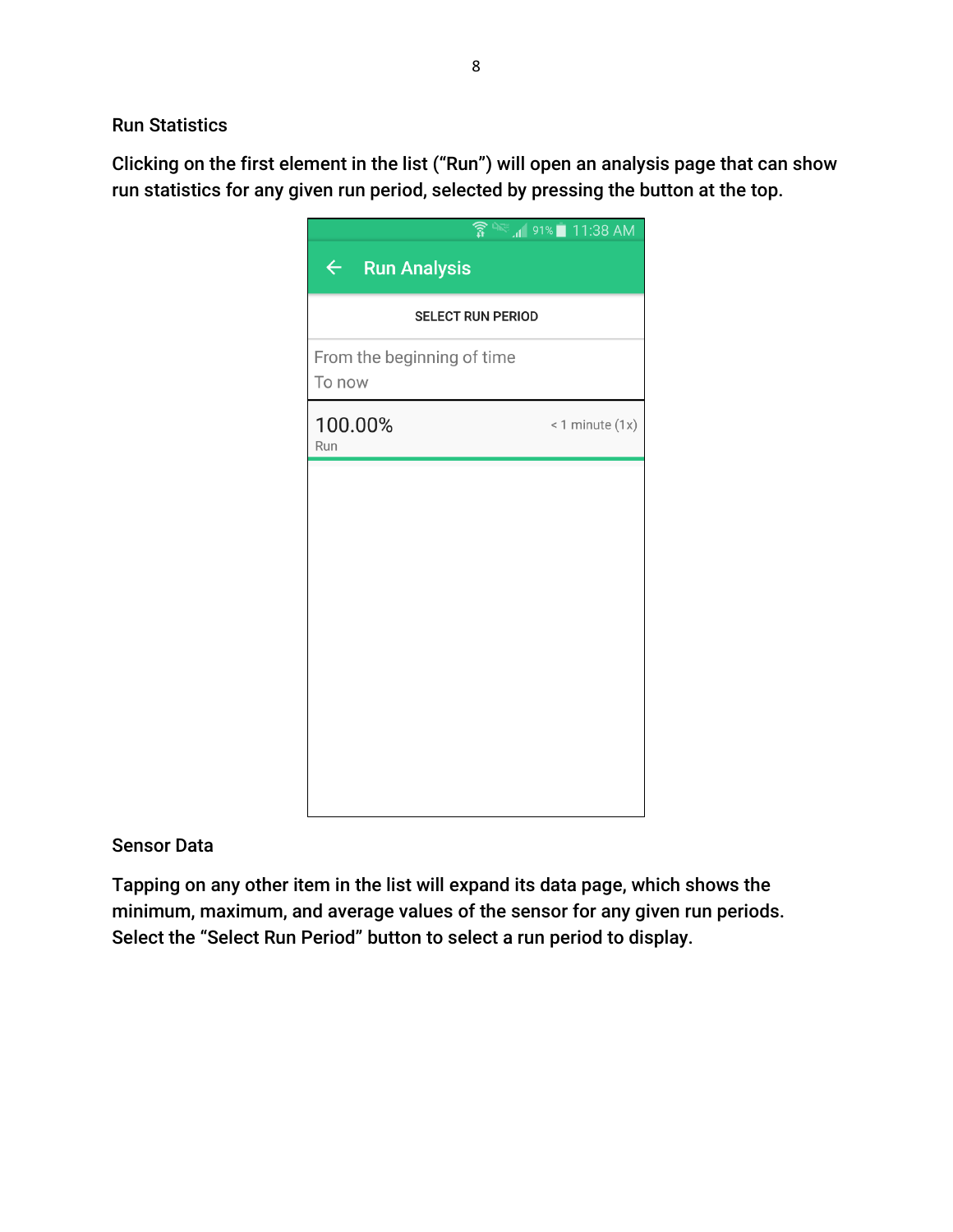#### Run Statistics

Clicking on the first element in the list ("Run") will open an analysis page that can show run statistics for any given run period, selected by pressing the button at the top.

|                                      | <b>● A 38 AM</b> 91% 11:38 AM |  |
|--------------------------------------|-------------------------------|--|
| $\leftarrow$ Run Analysis            |                               |  |
| <b>SELECT RUN PERIOD</b>             |                               |  |
| From the beginning of time<br>To now |                               |  |
| 100.00%<br>Run                       | $< 1$ minute $(1x)$           |  |
|                                      |                               |  |
|                                      |                               |  |
|                                      |                               |  |
|                                      |                               |  |
|                                      |                               |  |
|                                      |                               |  |
|                                      |                               |  |

#### Sensor Data

Tapping on any other item in the list will expand its data page, which shows the minimum, maximum, and average values of the sensor for any given run periods. Select the "Select Run Period" button to select a run period to display.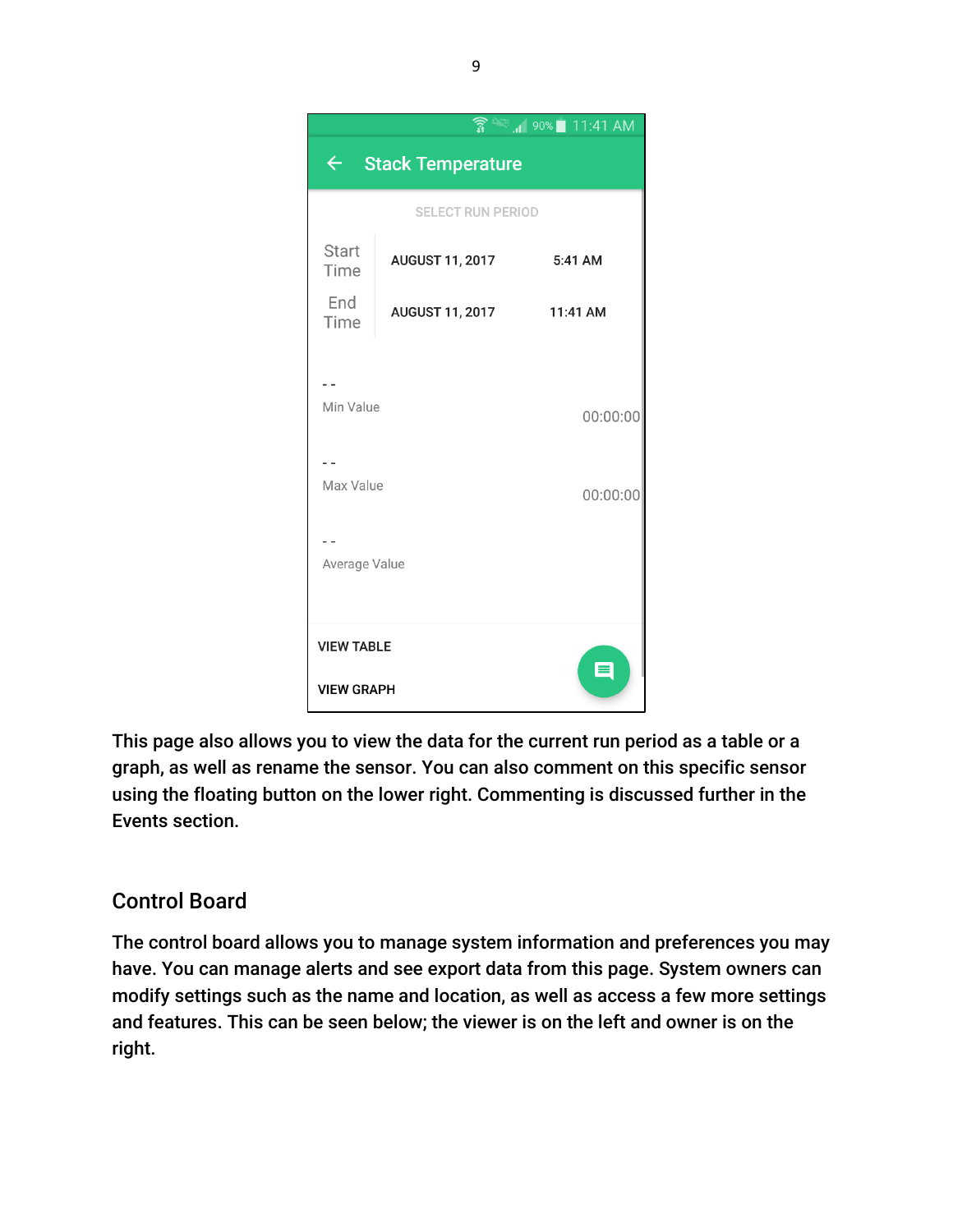

This page also allows you to view the data for the current run period as a table or a graph, as well as rename the sensor. You can also comment on this specific sensor using the floating button on the lower right. Commenting is discussed further in the Events section.

### Control Board

The control board allows you to manage system information and preferences you may have. You can manage alerts and see export data from this page. System owners can modify settings such as the name and location, as well as access a few more settings and features. This can be seen below; the viewer is on the left and owner is on the right.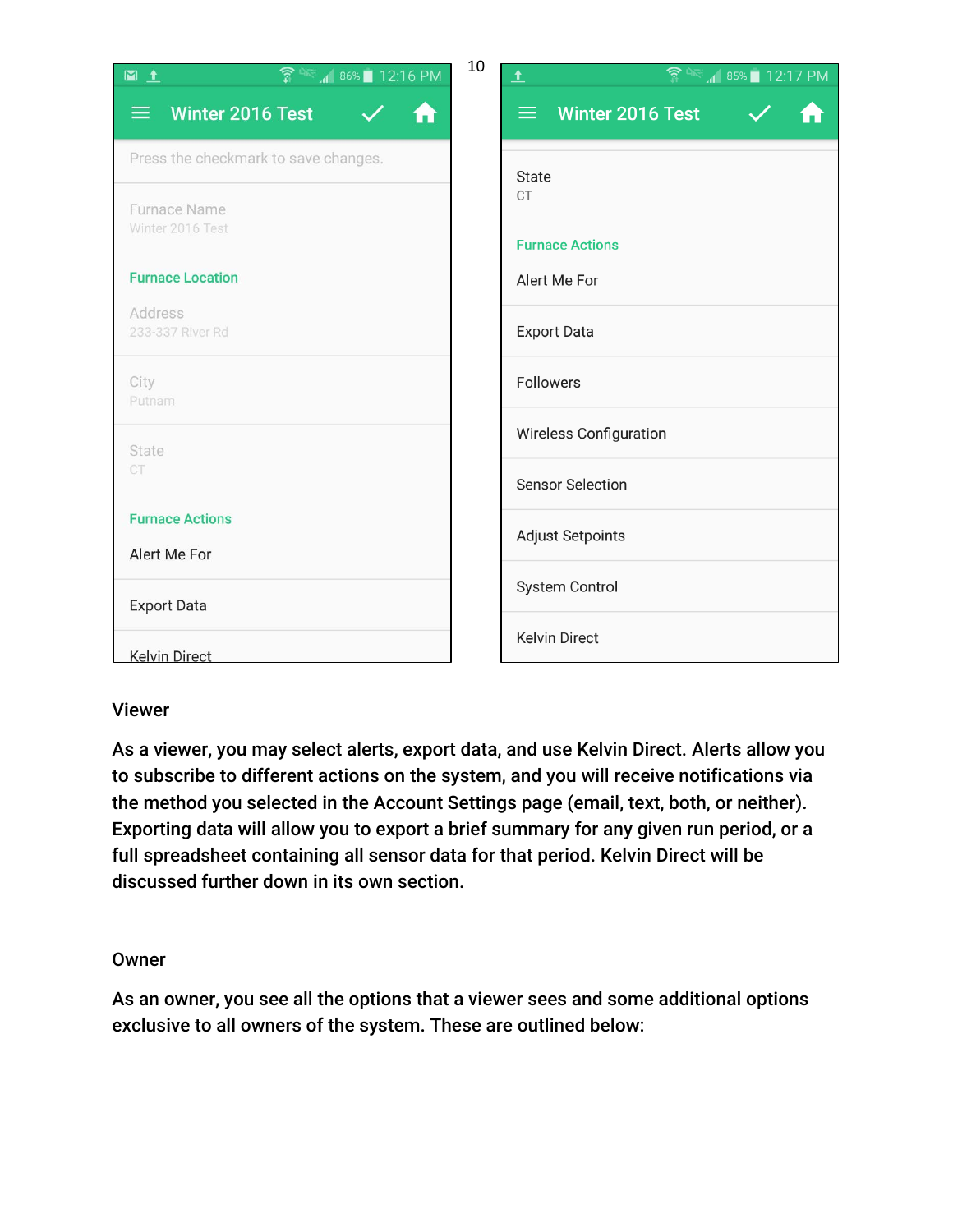| $\widehat{\mathbb{R}}$ as $\blacksquare$ 12:16 PM<br>$M_1$ | 10 | $\widehat{\mathbb{R}}$ <sup>n</sup> $\cong$ $\mathbb{R}$ 85% $\blacksquare$ 12:17 PM<br>土 |
|------------------------------------------------------------|----|-------------------------------------------------------------------------------------------|
| Winter 2016 Test<br>ᆖ<br>A                                 |    | Winter 2016 Test<br>≡                                                                     |
| Press the checkmark to save changes.                       |    | State                                                                                     |
| Furnace Name<br>Winter 2016 Test                           |    | <b>CT</b><br><b>Furnace Actions</b>                                                       |
| <b>Furnace Location</b>                                    |    | Alert Me For                                                                              |
| Address<br>233-337 River Rd                                |    | <b>Export Data</b>                                                                        |
| City<br>Putnam                                             |    | <b>Followers</b>                                                                          |
| State                                                      |    | <b>Wireless Configuration</b>                                                             |
| CT                                                         |    | <b>Sensor Selection</b>                                                                   |
| <b>Furnace Actions</b><br>Alert Me For                     |    | <b>Adjust Setpoints</b>                                                                   |
|                                                            |    | System Control                                                                            |
| <b>Export Data</b>                                         |    | <b>Kelvin Direct</b>                                                                      |
| <b>Kelvin Direct</b>                                       |    |                                                                                           |

#### Viewer

As a viewer, you may select alerts, export data, and use Kelvin Direct. Alerts allow you to subscribe to different actions on the system, and you will receive notifications via the method you selected in the Account Settings page (email, text, both, or neither). Exporting data will allow you to export a brief summary for any given run period, or a full spreadsheet containing all sensor data for that period. Kelvin Direct will be discussed further down in its own section.

#### **Owner**

As an owner, you see all the options that a viewer sees and some additional options exclusive to all owners of the system. These are outlined below: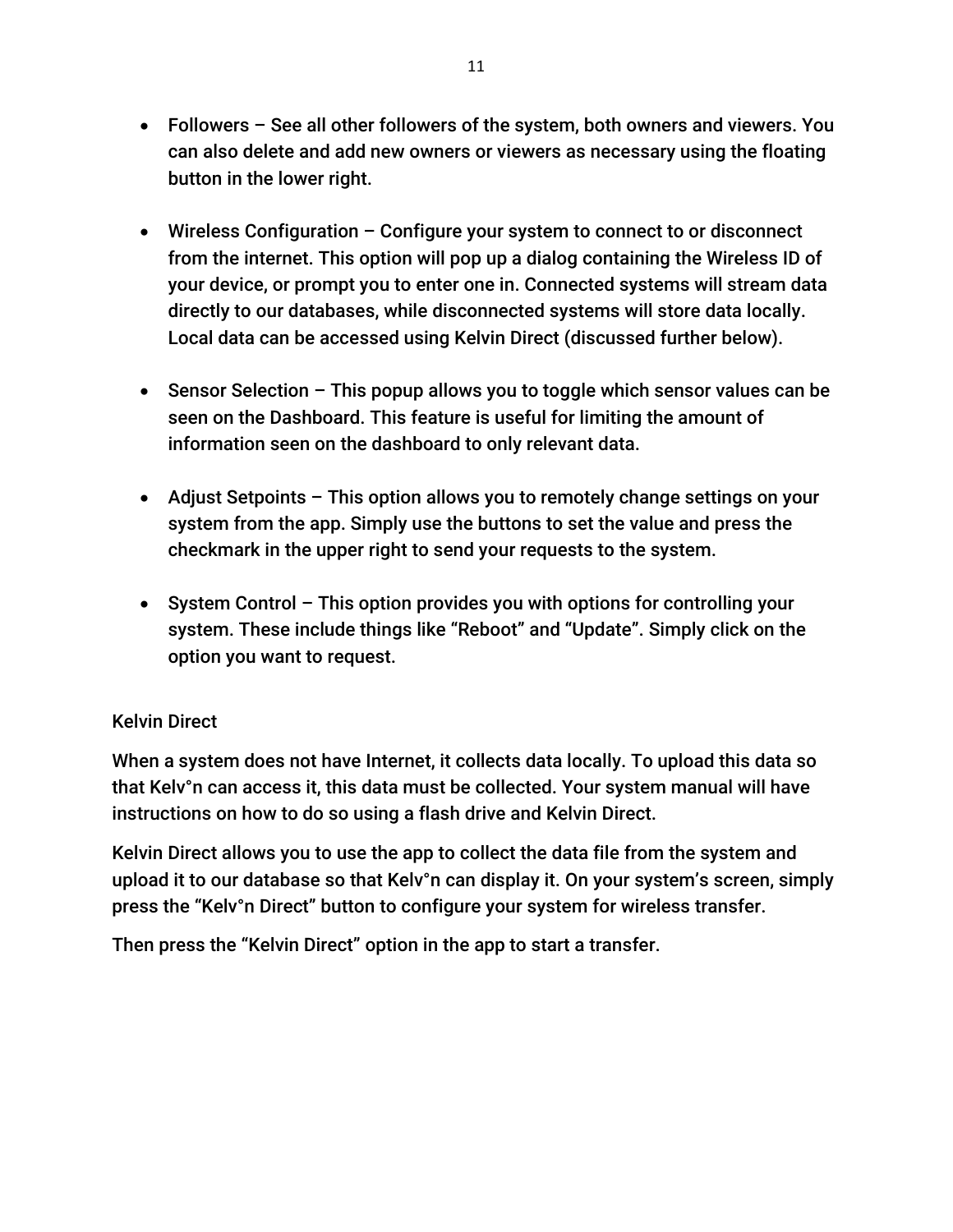- Followers See all other followers of the system, both owners and viewers. You can also delete and add new owners or viewers as necessary using the floating button in the lower right.
- Wireless Configuration Configure your system to connect to or disconnect from the internet. This option will pop up a dialog containing the Wireless ID of your device, or prompt you to enter one in. Connected systems will stream data directly to our databases, while disconnected systems will store data locally. Local data can be accessed using Kelvin Direct (discussed further below).
- Sensor Selection This popup allows you to toggle which sensor values can be seen on the Dashboard. This feature is useful for limiting the amount of information seen on the dashboard to only relevant data.
- Adjust Setpoints This option allows you to remotely change settings on your system from the app. Simply use the buttons to set the value and press the checkmark in the upper right to send your requests to the system.
- System Control This option provides you with options for controlling your system. These include things like "Reboot" and "Update". Simply click on the option you want to request.

#### Kelvin Direct

When a system does not have Internet, it collects data locally. To upload this data so that Kelv°n can access it, this data must be collected. Your system manual will have instructions on how to do so using a flash drive and Kelvin Direct.

Kelvin Direct allows you to use the app to collect the data file from the system and upload it to our database so that Kelv°n can display it. On your system's screen, simply press the "Kelv°n Direct" button to configure your system for wireless transfer.

Then press the "Kelvin Direct" option in the app to start a transfer.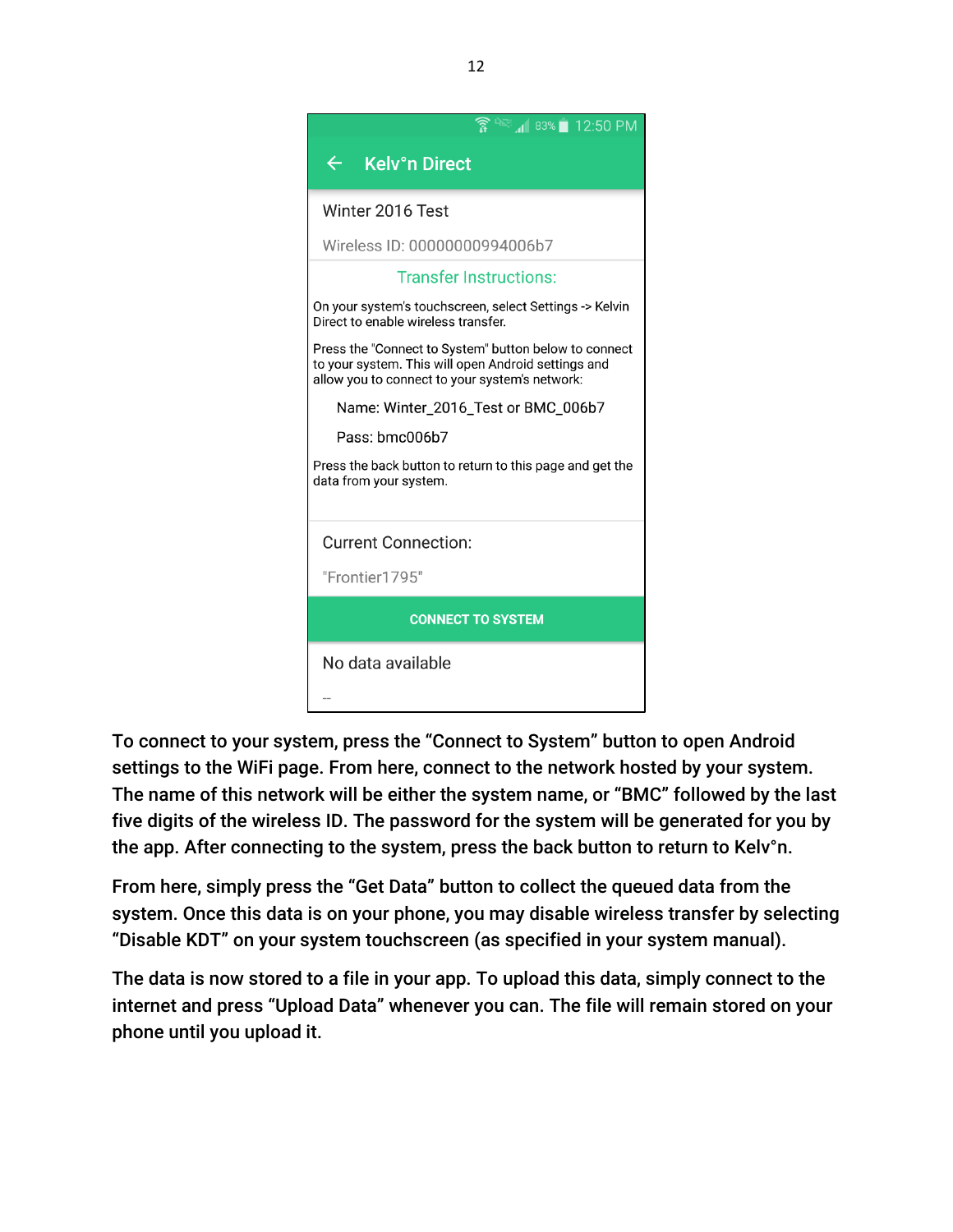| $12:50 \text{ PM}$                                                                                                                                             |  |  |
|----------------------------------------------------------------------------------------------------------------------------------------------------------------|--|--|
| $\leftarrow$<br><b>Kelv°n Direct</b>                                                                                                                           |  |  |
| Winter 2016 Test                                                                                                                                               |  |  |
| Wireless ID: 00000000994006b7                                                                                                                                  |  |  |
| <b>Transfer Instructions:</b>                                                                                                                                  |  |  |
| On your system's touchscreen, select Settings -> Kelvin<br>Direct to enable wireless transfer.                                                                 |  |  |
| Press the "Connect to System" button below to connect<br>to your system. This will open Android settings and<br>allow you to connect to your system's network: |  |  |
| Name: Winter_2016_Test or BMC_006b7                                                                                                                            |  |  |
| Pass: bmc006b7                                                                                                                                                 |  |  |
| Press the back button to return to this page and get the<br>data from your system.                                                                             |  |  |
| <b>Current Connection:</b>                                                                                                                                     |  |  |
| "Frontier1795"                                                                                                                                                 |  |  |
| <b>CONNECT TO SYSTEM</b>                                                                                                                                       |  |  |
| No data available                                                                                                                                              |  |  |
|                                                                                                                                                                |  |  |

To connect to your system, press the "Connect to System" button to open Android settings to the WiFi page. From here, connect to the network hosted by your system. The name of this network will be either the system name, or "BMC" followed by the last five digits of the wireless ID. The password for the system will be generated for you by the app. After connecting to the system, press the back button to return to Kelv°n.

From here, simply press the "Get Data" button to collect the queued data from the system. Once this data is on your phone, you may disable wireless transfer by selecting "Disable KDT" on your system touchscreen (as specified in your system manual).

The data is now stored to a file in your app. To upload this data, simply connect to the internet and press "Upload Data" whenever you can. The file will remain stored on your phone until you upload it.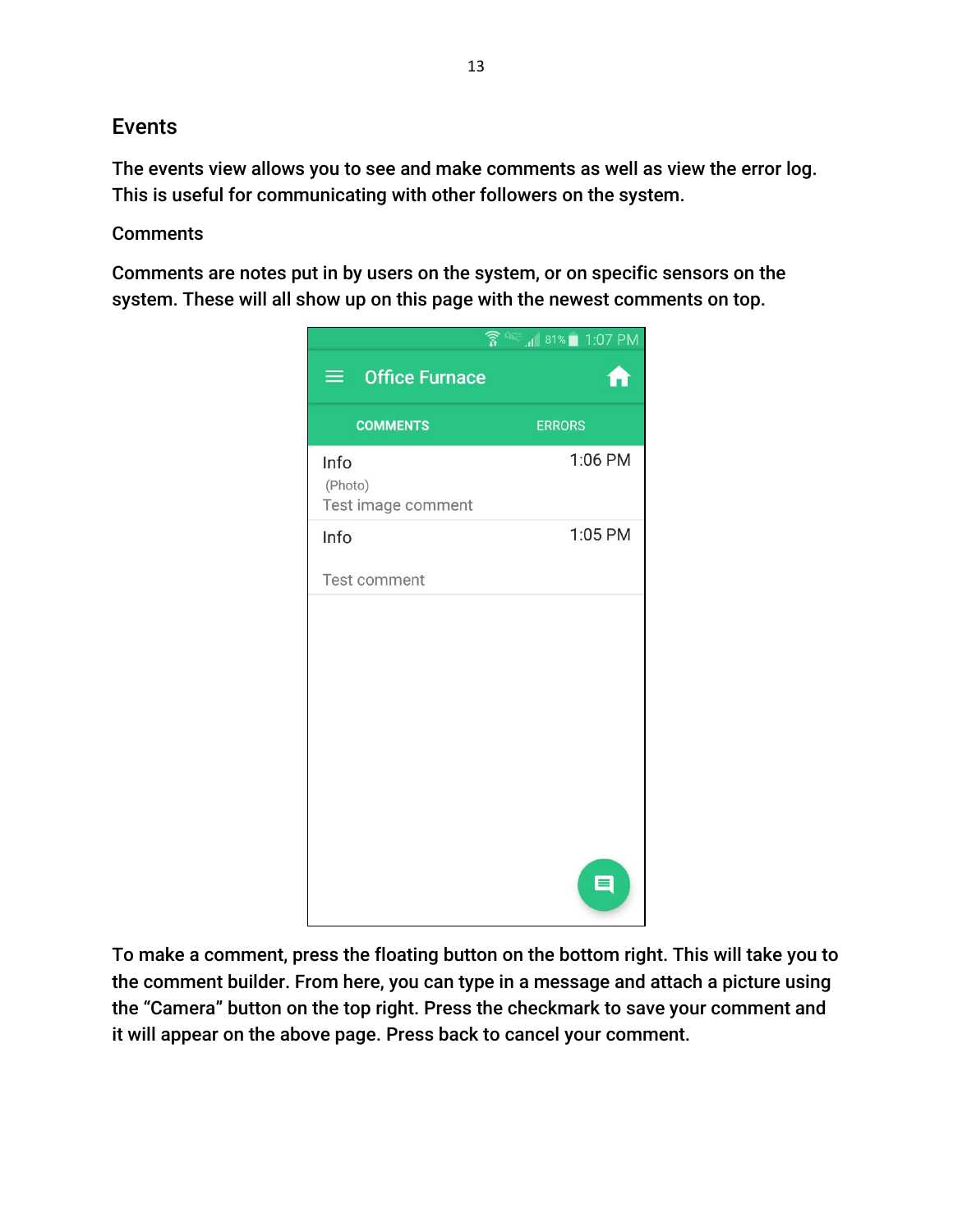### Events

The events view allows you to see and make comments as well as view the error log. This is useful for communicating with other followers on the system.

#### **Comments**

Comments are notes put in by users on the system, or on specific sensors on the system. These will all show up on this page with the newest comments on top.



To make a comment, press the floating button on the bottom right. This will take you to the comment builder. From here, you can type in a message and attach a picture using the "Camera" button on the top right. Press the checkmark to save your comment and it will appear on the above page. Press back to cancel your comment.